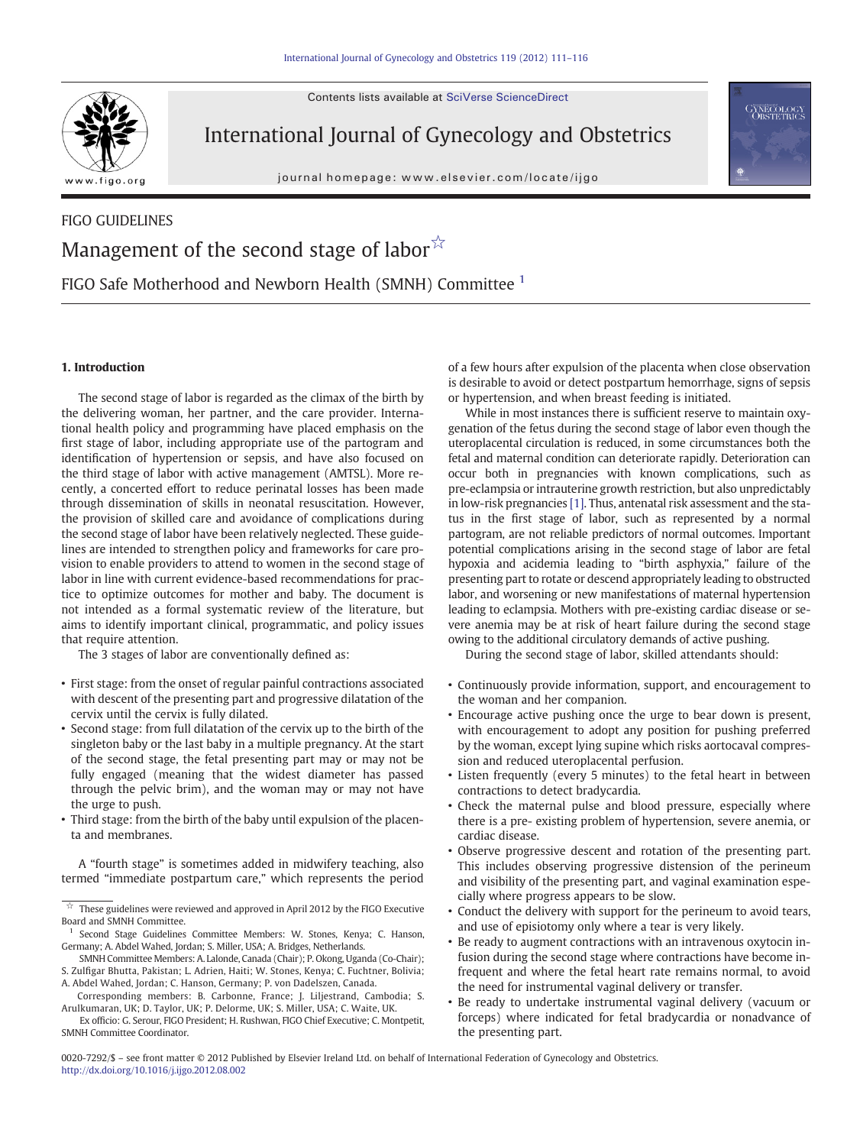Contents lists available at SciVerse ScienceDirect



International Journal of Gynecology and Obstetrics

journal homepage: www.elsevier.com/locate/ijgo



# FIGO GUIDELINES Management of the second stage of labor $\overrightarrow{r}$

FIGO Safe Motherhood and Newborn Health (SMNH) Committee <sup>1</sup>

# 1. Introduction

The second stage of labor is regarded as the climax of the birth by the delivering woman, her partner, and the care provider. International health policy and programming have placed emphasis on the first stage of labor, including appropriate use of the partogram and identification of hypertension or sepsis, and have also focused on the third stage of labor with active management (AMTSL). More recently, a concerted effort to reduce perinatal losses has been made through dissemination of skills in neonatal resuscitation. However, the provision of skilled care and avoidance of complications during the second stage of labor have been relatively neglected. These guidelines are intended to strengthen policy and frameworks for care provision to enable providers to attend to women in the second stage of labor in line with current evidence-based recommendations for practice to optimize outcomes for mother and baby. The document is not intended as a formal systematic review of the literature, but aims to identify important clinical, programmatic, and policy issues that require attention.

The 3 stages of labor are conventionally defined as:

- First stage: from the onset of regular painful contractions associated with descent of the presenting part and progressive dilatation of the cervix until the cervix is fully dilated.
- Second stage: from full dilatation of the cervix up to the birth of the singleton baby or the last baby in a multiple pregnancy. At the start of the second stage, the fetal presenting part may or may not be fully engaged (meaning that the widest diameter has passed through the pelvic brim), and the woman may or may not have the urge to push.
- Third stage: from the birth of the baby until expulsion of the placenta and membranes.

A "fourth stage" is sometimes added in midwifery teaching, also termed "immediate postpartum care," which represents the period

<sup>1</sup> Second Stage Guidelines Committee Members: W. Stones, Kenya; C. Hanson, Germany; A. Abdel Wahed, Jordan; S. Miller, USA; A. Bridges, Netherlands.

SMNH Committee Members: A. Lalonde, Canada (Chair); P. Okong, Uganda (Co-Chair); S. Zulfigar Bhutta, Pakistan; L. Adrien, Haiti; W. Stones, Kenya; C. Fuchtner, Bolivia; A. Abdel Wahed, Jordan; C. Hanson, Germany; P. von Dadelszen, Canada.

Corresponding members: B. Carbonne, France; J. Liljestrand, Cambodia; S. Arulkumaran, UK; D. Taylor, UK; P. Delorme, UK; S. Miller, USA; C. Waite, UK.

Ex officio: G. Serour, FIGO President; H. Rushwan, FIGO Chief Executive; C. Montpetit, SMNH Committee Coordinator.

of a few hours after expulsion of the placenta when close observation is desirable to avoid or detect postpartum hemorrhage, signs of sepsis or hypertension, and when breast feeding is initiated.

While in most instances there is sufficient reserve to maintain oxygenation of the fetus during the second stage of labor even though the uteroplacental circulation is reduced, in some circumstances both the fetal and maternal condition can deteriorate rapidly. Deterioration can occur both in pregnancies with known complications, such as pre-eclampsia or intrauterine growth restriction, but also unpredictably in low-risk pregnancies [\[1\].](#page-4-0) Thus, antenatal risk assessment and the status in the first stage of labor, such as represented by a normal partogram, are not reliable predictors of normal outcomes. Important potential complications arising in the second stage of labor are fetal hypoxia and acidemia leading to "birth asphyxia," failure of the presenting part to rotate or descend appropriately leading to obstructed labor, and worsening or new manifestations of maternal hypertension leading to eclampsia. Mothers with pre-existing cardiac disease or severe anemia may be at risk of heart failure during the second stage owing to the additional circulatory demands of active pushing.

During the second stage of labor, skilled attendants should:

- Continuously provide information, support, and encouragement to the woman and her companion.
- Encourage active pushing once the urge to bear down is present, with encouragement to adopt any position for pushing preferred by the woman, except lying supine which risks aortocaval compression and reduced uteroplacental perfusion.
- Listen frequently (every 5 minutes) to the fetal heart in between contractions to detect bradycardia.
- Check the maternal pulse and blood pressure, especially where there is a pre- existing problem of hypertension, severe anemia, or cardiac disease.
- Observe progressive descent and rotation of the presenting part. This includes observing progressive distension of the perineum and visibility of the presenting part, and vaginal examination especially where progress appears to be slow.
- Conduct the delivery with support for the perineum to avoid tears, and use of episiotomy only where a tear is very likely.
- Be ready to augment contractions with an intravenous oxytocin infusion during the second stage where contractions have become infrequent and where the fetal heart rate remains normal, to avoid the need for instrumental vaginal delivery or transfer.
- Be ready to undertake instrumental vaginal delivery (vacuum or forceps) where indicated for fetal bradycardia or nonadvance of the presenting part.

0020-7292/\$ – see front matter © 2012 Published by Elsevier Ireland Ltd. on behalf of International Federation of Gynecology and Obstetrics. <http://dx.doi.org/10.1016/j.ijgo.2012.08.002>

 $\overrightarrow{a}$  These guidelines were reviewed and approved in April 2012 by the FIGO Executive Board and SMNH Committee.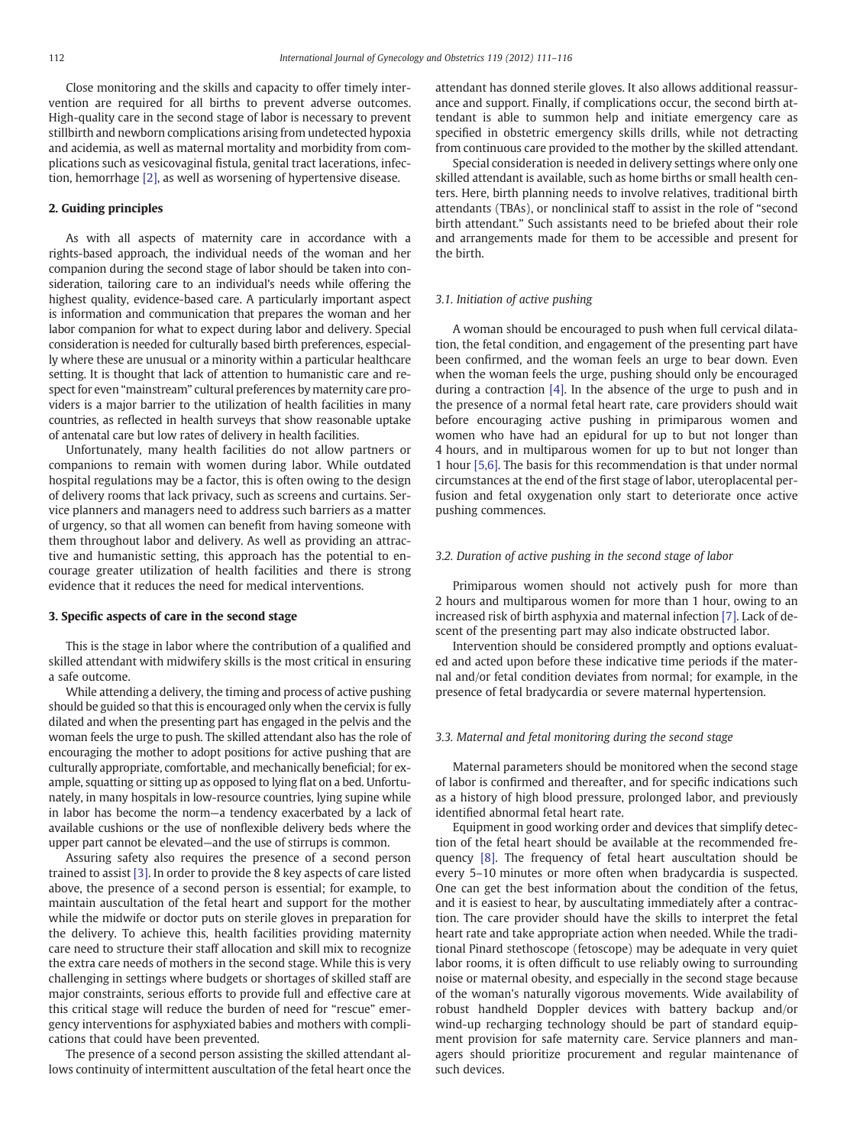Close monitoring and the skills and capacity to offer timely intervention are required for all births to prevent adverse outcomes. High-quality care in the second stage of labor is necessary to prevent stillbirth and newborn complications arising from undetected hypoxia and acidemia, as well as maternal mortality and morbidity from complications such as vesicovaginal fistula, genital tract lacerations, infection, hemorrhage [\[2\],](#page-4-0) as well as worsening of hypertensive disease.

## 2. Guiding principles

As with all aspects of maternity care in accordance with a rights-based approach, the individual needs of the woman and her companion during the second stage of labor should be taken into consideration, tailoring care to an individual's needs while offering the highest quality, evidence-based care. A particularly important aspect is information and communication that prepares the woman and her labor companion for what to expect during labor and delivery. Special consideration is needed for culturally based birth preferences, especially where these are unusual or a minority within a particular healthcare setting. It is thought that lack of attention to humanistic care and respect for even "mainstream" cultural preferences by maternity care providers is a major barrier to the utilization of health facilities in many countries, as reflected in health surveys that show reasonable uptake of antenatal care but low rates of delivery in health facilities.

Unfortunately, many health facilities do not allow partners or companions to remain with women during labor. While outdated hospital regulations may be a factor, this is often owing to the design of delivery rooms that lack privacy, such as screens and curtains. Service planners and managers need to address such barriers as a matter of urgency, so that all women can benefit from having someone with them throughout labor and delivery. As well as providing an attractive and humanistic setting, this approach has the potential to encourage greater utilization of health facilities and there is strong evidence that it reduces the need for medical interventions.

#### 3. Specific aspects of care in the second stage

This is the stage in labor where the contribution of a qualified and skilled attendant with midwifery skills is the most critical in ensuring a safe outcome.

While attending a delivery, the timing and process of active pushing should be guided so that this is encouraged only when the cervix is fully dilated and when the presenting part has engaged in the pelvis and the woman feels the urge to push. The skilled attendant also has the role of encouraging the mother to adopt positions for active pushing that are culturally appropriate, comfortable, and mechanically beneficial; for example, squatting or sitting up as opposed to lying flat on a bed. Unfortunately, in many hospitals in low-resource countries, lying supine while in labor has become the norm—a tendency exacerbated by a lack of available cushions or the use of nonflexible delivery beds where the upper part cannot be elevated—and the use of stirrups is common.

Assuring safety also requires the presence of a second person trained to assist [\[3\].](#page-5-0) In order to provide the 8 key aspects of care listed above, the presence of a second person is essential; for example, to maintain auscultation of the fetal heart and support for the mother while the midwife or doctor puts on sterile gloves in preparation for the delivery. To achieve this, health facilities providing maternity care need to structure their staff allocation and skill mix to recognize the extra care needs of mothers in the second stage. While this is very challenging in settings where budgets or shortages of skilled staff are major constraints, serious efforts to provide full and effective care at this critical stage will reduce the burden of need for "rescue" emergency interventions for asphyxiated babies and mothers with complications that could have been prevented.

The presence of a second person assisting the skilled attendant allows continuity of intermittent auscultation of the fetal heart once the attendant has donned sterile gloves. It also allows additional reassurance and support. Finally, if complications occur, the second birth attendant is able to summon help and initiate emergency care as specified in obstetric emergency skills drills, while not detracting from continuous care provided to the mother by the skilled attendant.

Special consideration is needed in delivery settings where only one skilled attendant is available, such as home births or small health centers. Here, birth planning needs to involve relatives, traditional birth attendants (TBAs), or nonclinical staff to assist in the role of "second birth attendant." Such assistants need to be briefed about their role and arrangements made for them to be accessible and present for the birth.

# 3.1. Initiation of active pushing

A woman should be encouraged to push when full cervical dilatation, the fetal condition, and engagement of the presenting part have been confirmed, and the woman feels an urge to bear down. Even when the woman feels the urge, pushing should only be encouraged during a contraction [\[4\].](#page-5-0) In the absence of the urge to push and in the presence of a normal fetal heart rate, care providers should wait before encouraging active pushing in primiparous women and women who have had an epidural for up to but not longer than 4 hours, and in multiparous women for up to but not longer than 1 hour [\[5,6\].](#page-5-0) The basis for this recommendation is that under normal circumstances at the end of the first stage of labor, uteroplacental perfusion and fetal oxygenation only start to deteriorate once active pushing commences.

## 3.2. Duration of active pushing in the second stage of labor

Primiparous women should not actively push for more than 2 hours and multiparous women for more than 1 hour, owing to an increased risk of birth asphyxia and maternal infection [\[7\]](#page-5-0). Lack of descent of the presenting part may also indicate obstructed labor.

Intervention should be considered promptly and options evaluated and acted upon before these indicative time periods if the maternal and/or fetal condition deviates from normal; for example, in the presence of fetal bradycardia or severe maternal hypertension.

#### 3.3. Maternal and fetal monitoring during the second stage

Maternal parameters should be monitored when the second stage of labor is confirmed and thereafter, and for specific indications such as a history of high blood pressure, prolonged labor, and previously identified abnormal fetal heart rate.

Equipment in good working order and devices that simplify detection of the fetal heart should be available at the recommended frequency [\[8\]](#page-5-0). The frequency of fetal heart auscultation should be every 5–10 minutes or more often when bradycardia is suspected. One can get the best information about the condition of the fetus, and it is easiest to hear, by auscultating immediately after a contraction. The care provider should have the skills to interpret the fetal heart rate and take appropriate action when needed. While the traditional Pinard stethoscope (fetoscope) may be adequate in very quiet labor rooms, it is often difficult to use reliably owing to surrounding noise or maternal obesity, and especially in the second stage because of the woman's naturally vigorous movements. Wide availability of robust handheld Doppler devices with battery backup and/or wind-up recharging technology should be part of standard equipment provision for safe maternity care. Service planners and managers should prioritize procurement and regular maintenance of such devices.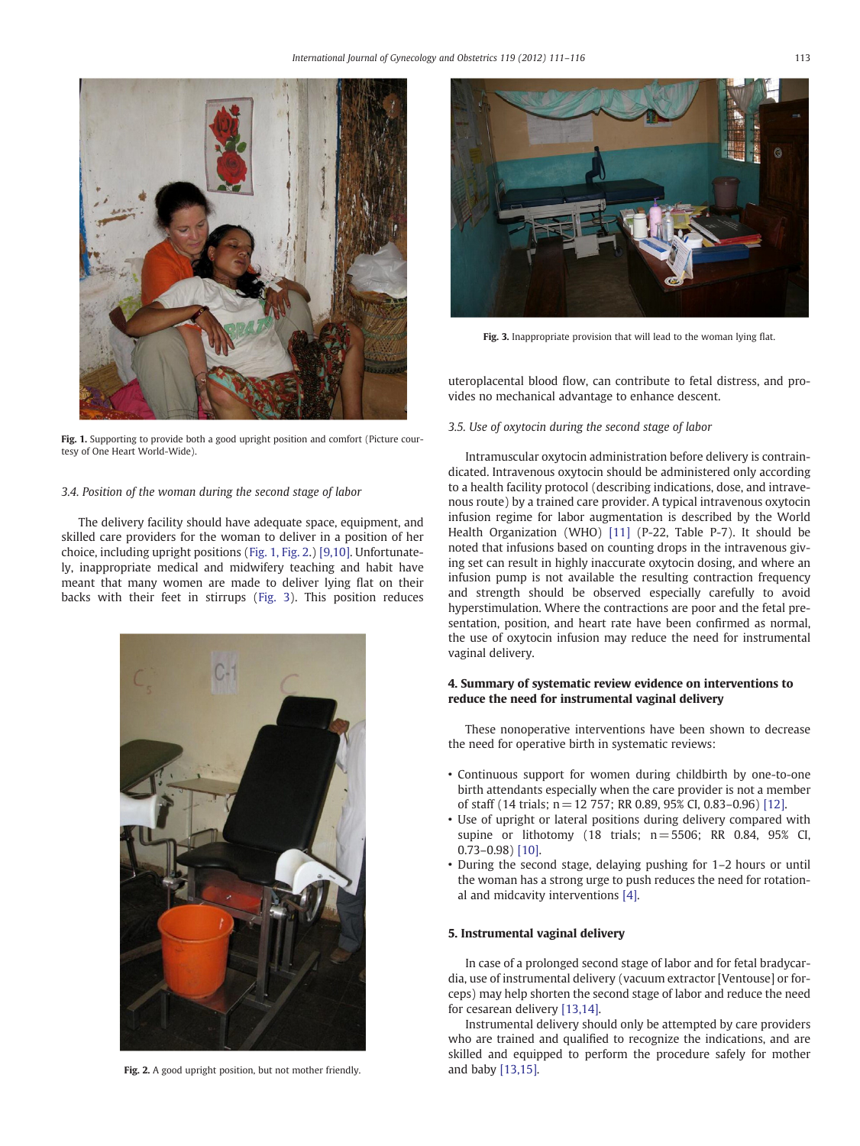

Fig. 1. Supporting to provide both a good upright position and comfort (Picture courtesy of One Heart World-Wide).

#### 3.4. Position of the woman during the second stage of labor

The delivery facility should have adequate space, equipment, and skilled care providers for the woman to deliver in a position of her choice, including upright positions (Fig. 1, Fig. 2.) [\[9,10\]](#page-5-0). Unfortunately, inappropriate medical and midwifery teaching and habit have meant that many women are made to deliver lying flat on their backs with their feet in stirrups (Fig. 3). This position reduces



Fig. 2. A good upright position, but not mother friendly.



Fig. 3. Inappropriate provision that will lead to the woman lying flat.

uteroplacental blood flow, can contribute to fetal distress, and provides no mechanical advantage to enhance descent.

## 3.5. Use of oxytocin during the second stage of labor

Intramuscular oxytocin administration before delivery is contraindicated. Intravenous oxytocin should be administered only according to a health facility protocol (describing indications, dose, and intravenous route) by a trained care provider. A typical intravenous oxytocin infusion regime for labor augmentation is described by the World Health Organization (WHO) [\[11\]](#page-5-0) (P-22, Table P-7). It should be noted that infusions based on counting drops in the intravenous giving set can result in highly inaccurate oxytocin dosing, and where an infusion pump is not available the resulting contraction frequency and strength should be observed especially carefully to avoid hyperstimulation. Where the contractions are poor and the fetal presentation, position, and heart rate have been confirmed as normal, the use of oxytocin infusion may reduce the need for instrumental vaginal delivery.

# 4. Summary of systematic review evidence on interventions to reduce the need for instrumental vaginal delivery

These nonoperative interventions have been shown to decrease the need for operative birth in systematic reviews:

- Continuous support for women during childbirth by one-to-one birth attendants especially when the care provider is not a member of staff (14 trials; n= 12 757; RR 0.89, 95% CI, 0.83–0.96) [\[12\].](#page-5-0)
- Use of upright or lateral positions during delivery compared with supine or lithotomy (18 trials;  $n=5506$ ; RR 0.84, 95% CI, 0.73–0.98) [\[10\]](#page-5-0).
- During the second stage, delaying pushing for 1–2 hours or until the woman has a strong urge to push reduces the need for rotational and midcavity interventions [\[4\]](#page-5-0).

# 5. Instrumental vaginal delivery

In case of a prolonged second stage of labor and for fetal bradycardia, use of instrumental delivery (vacuum extractor [Ventouse] or forceps) may help shorten the second stage of labor and reduce the need for cesarean delivery [\[13,14\].](#page-5-0)

Instrumental delivery should only be attempted by care providers who are trained and qualified to recognize the indications, and are skilled and equipped to perform the procedure safely for mother and baby [\[13,15\].](#page-5-0)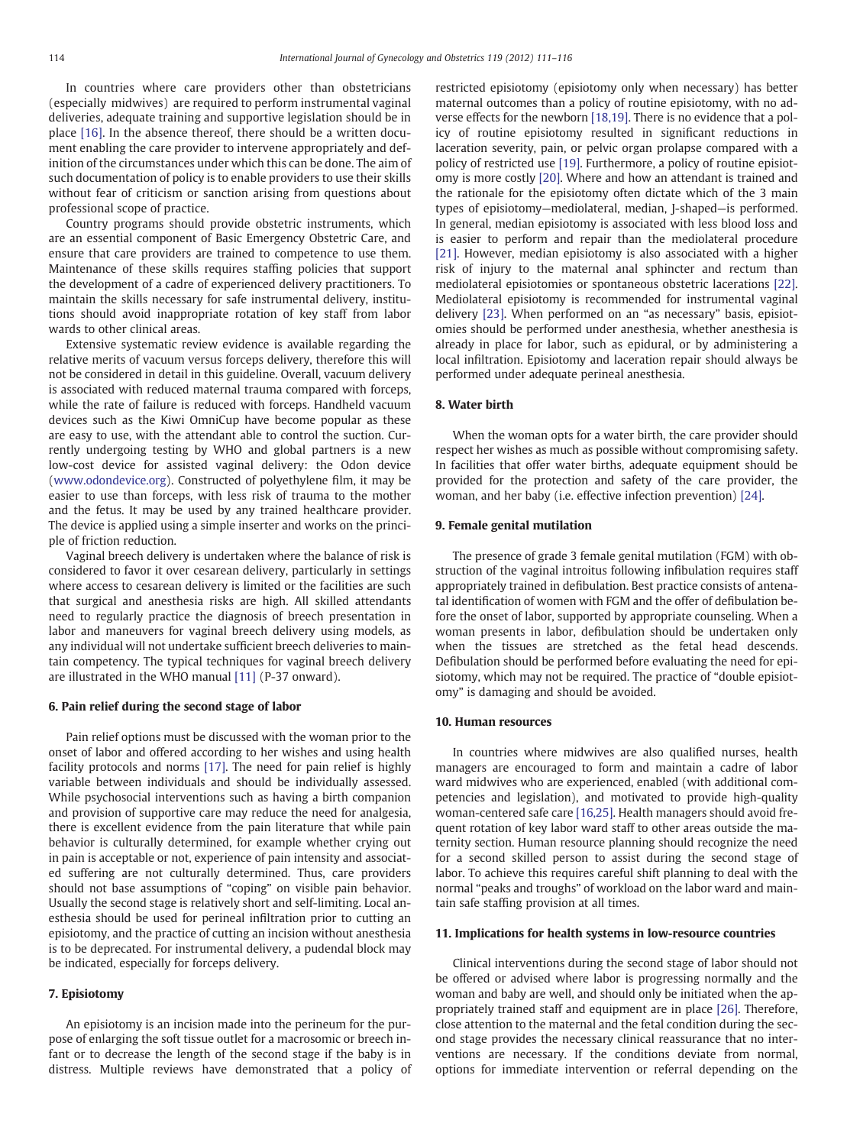In countries where care providers other than obstetricians (especially midwives) are required to perform instrumental vaginal deliveries, adequate training and supportive legislation should be in place [\[16\].](#page-5-0) In the absence thereof, there should be a written document enabling the care provider to intervene appropriately and definition of the circumstances under which this can be done. The aim of such documentation of policy is to enable providers to use their skills without fear of criticism or sanction arising from questions about professional scope of practice.

Country programs should provide obstetric instruments, which are an essential component of Basic Emergency Obstetric Care, and ensure that care providers are trained to competence to use them. Maintenance of these skills requires staffing policies that support the development of a cadre of experienced delivery practitioners. To maintain the skills necessary for safe instrumental delivery, institutions should avoid inappropriate rotation of key staff from labor wards to other clinical areas.

Extensive systematic review evidence is available regarding the relative merits of vacuum versus forceps delivery, therefore this will not be considered in detail in this guideline. Overall, vacuum delivery is associated with reduced maternal trauma compared with forceps, while the rate of failure is reduced with forceps. Handheld vacuum devices such as the Kiwi OmniCup have become popular as these are easy to use, with the attendant able to control the suction. Currently undergoing testing by WHO and global partners is a new low-cost device for assisted vaginal delivery: the Odon device [\(www.odondevice.org](http://www.odondevice.org)). Constructed of polyethylene film, it may be easier to use than forceps, with less risk of trauma to the mother and the fetus. It may be used by any trained healthcare provider. The device is applied using a simple inserter and works on the principle of friction reduction.

Vaginal breech delivery is undertaken where the balance of risk is considered to favor it over cesarean delivery, particularly in settings where access to cesarean delivery is limited or the facilities are such that surgical and anesthesia risks are high. All skilled attendants need to regularly practice the diagnosis of breech presentation in labor and maneuvers for vaginal breech delivery using models, as any individual will not undertake sufficient breech deliveries to maintain competency. The typical techniques for vaginal breech delivery are illustrated in the WHO manual [\[11\]](#page-5-0) (P-37 onward).

#### 6. Pain relief during the second stage of labor

Pain relief options must be discussed with the woman prior to the onset of labor and offered according to her wishes and using health facility protocols and norms [\[17\]](#page-5-0). The need for pain relief is highly variable between individuals and should be individually assessed. While psychosocial interventions such as having a birth companion and provision of supportive care may reduce the need for analgesia, there is excellent evidence from the pain literature that while pain behavior is culturally determined, for example whether crying out in pain is acceptable or not, experience of pain intensity and associated suffering are not culturally determined. Thus, care providers should not base assumptions of "coping" on visible pain behavior. Usually the second stage is relatively short and self-limiting. Local anesthesia should be used for perineal infiltration prior to cutting an episiotomy, and the practice of cutting an incision without anesthesia is to be deprecated. For instrumental delivery, a pudendal block may be indicated, especially for forceps delivery.

## 7. Episiotomy

An episiotomy is an incision made into the perineum for the purpose of enlarging the soft tissue outlet for a macrosomic or breech infant or to decrease the length of the second stage if the baby is in distress. Multiple reviews have demonstrated that a policy of restricted episiotomy (episiotomy only when necessary) has better maternal outcomes than a policy of routine episiotomy, with no adverse effects for the newborn [\[18,19\]](#page-5-0). There is no evidence that a policy of routine episiotomy resulted in significant reductions in laceration severity, pain, or pelvic organ prolapse compared with a policy of restricted use [\[19\].](#page-5-0) Furthermore, a policy of routine episiotomy is more costly [\[20\]](#page-5-0). Where and how an attendant is trained and the rationale for the episiotomy often dictate which of the 3 main types of episiotomy—mediolateral, median, J-shaped—is performed. In general, median episiotomy is associated with less blood loss and is easier to perform and repair than the mediolateral procedure [\[21\]](#page-5-0). However, median episiotomy is also associated with a higher risk of injury to the maternal anal sphincter and rectum than mediolateral episiotomies or spontaneous obstetric lacerations [\[22\].](#page-5-0) Mediolateral episiotomy is recommended for instrumental vaginal delivery [\[23\]](#page-5-0). When performed on an "as necessary" basis, episiotomies should be performed under anesthesia, whether anesthesia is already in place for labor, such as epidural, or by administering a local infiltration. Episiotomy and laceration repair should always be performed under adequate perineal anesthesia.

## 8. Water birth

When the woman opts for a water birth, the care provider should respect her wishes as much as possible without compromising safety. In facilities that offer water births, adequate equipment should be provided for the protection and safety of the care provider, the woman, and her baby (i.e. effective infection prevention) [\[24\].](#page-5-0)

#### 9. Female genital mutilation

The presence of grade 3 female genital mutilation (FGM) with obstruction of the vaginal introitus following infibulation requires staff appropriately trained in defibulation. Best practice consists of antenatal identification of women with FGM and the offer of defibulation before the onset of labor, supported by appropriate counseling. When a woman presents in labor, defibulation should be undertaken only when the tissues are stretched as the fetal head descends. Defibulation should be performed before evaluating the need for episiotomy, which may not be required. The practice of "double episiotomy" is damaging and should be avoided.

#### 10. Human resources

In countries where midwives are also qualified nurses, health managers are encouraged to form and maintain a cadre of labor ward midwives who are experienced, enabled (with additional competencies and legislation), and motivated to provide high-quality woman-centered safe care [\[16,25\].](#page-5-0) Health managers should avoid frequent rotation of key labor ward staff to other areas outside the maternity section. Human resource planning should recognize the need for a second skilled person to assist during the second stage of labor. To achieve this requires careful shift planning to deal with the normal "peaks and troughs" of workload on the labor ward and maintain safe staffing provision at all times.

#### 11. Implications for health systems in low-resource countries

Clinical interventions during the second stage of labor should not be offered or advised where labor is progressing normally and the woman and baby are well, and should only be initiated when the appropriately trained staff and equipment are in place [\[26\]](#page-5-0). Therefore, close attention to the maternal and the fetal condition during the second stage provides the necessary clinical reassurance that no interventions are necessary. If the conditions deviate from normal, options for immediate intervention or referral depending on the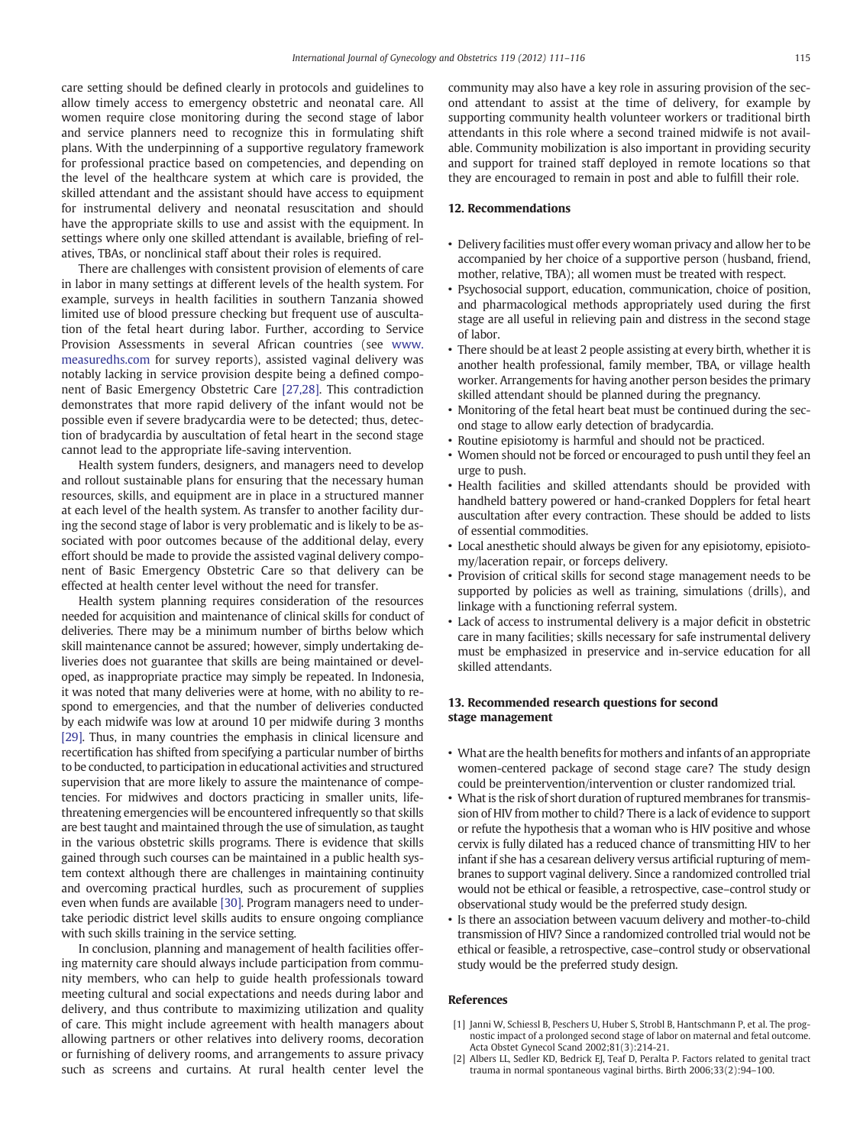<span id="page-4-0"></span>care setting should be defined clearly in protocols and guidelines to allow timely access to emergency obstetric and neonatal care. All women require close monitoring during the second stage of labor and service planners need to recognize this in formulating shift plans. With the underpinning of a supportive regulatory framework for professional practice based on competencies, and depending on the level of the healthcare system at which care is provided, the skilled attendant and the assistant should have access to equipment for instrumental delivery and neonatal resuscitation and should have the appropriate skills to use and assist with the equipment. In settings where only one skilled attendant is available, briefing of relatives, TBAs, or nonclinical staff about their roles is required.

There are challenges with consistent provision of elements of care in labor in many settings at different levels of the health system. For example, surveys in health facilities in southern Tanzania showed limited use of blood pressure checking but frequent use of auscultation of the fetal heart during labor. Further, according to Service Provision Assessments in several African countries (see [www.](http://www.measuredhs.com) [measuredhs.com](http://www.measuredhs.com) for survey reports), assisted vaginal delivery was notably lacking in service provision despite being a defined component of Basic Emergency Obstetric Care [\[27,28\]](#page-5-0). This contradiction demonstrates that more rapid delivery of the infant would not be possible even if severe bradycardia were to be detected; thus, detection of bradycardia by auscultation of fetal heart in the second stage cannot lead to the appropriate life-saving intervention.

Health system funders, designers, and managers need to develop and rollout sustainable plans for ensuring that the necessary human resources, skills, and equipment are in place in a structured manner at each level of the health system. As transfer to another facility during the second stage of labor is very problematic and is likely to be associated with poor outcomes because of the additional delay, every effort should be made to provide the assisted vaginal delivery component of Basic Emergency Obstetric Care so that delivery can be effected at health center level without the need for transfer.

Health system planning requires consideration of the resources needed for acquisition and maintenance of clinical skills for conduct of deliveries. There may be a minimum number of births below which skill maintenance cannot be assured; however, simply undertaking deliveries does not guarantee that skills are being maintained or developed, as inappropriate practice may simply be repeated. In Indonesia, it was noted that many deliveries were at home, with no ability to respond to emergencies, and that the number of deliveries conducted by each midwife was low at around 10 per midwife during 3 months [\[29\].](#page-5-0) Thus, in many countries the emphasis in clinical licensure and recertification has shifted from specifying a particular number of births to be conducted, to participation in educational activities and structured supervision that are more likely to assure the maintenance of competencies. For midwives and doctors practicing in smaller units, lifethreatening emergencies will be encountered infrequently so that skills are best taught and maintained through the use of simulation, as taught in the various obstetric skills programs. There is evidence that skills gained through such courses can be maintained in a public health system context although there are challenges in maintaining continuity and overcoming practical hurdles, such as procurement of supplies even when funds are available [\[30\]](#page-5-0). Program managers need to undertake periodic district level skills audits to ensure ongoing compliance with such skills training in the service setting.

In conclusion, planning and management of health facilities offering maternity care should always include participation from community members, who can help to guide health professionals toward meeting cultural and social expectations and needs during labor and delivery, and thus contribute to maximizing utilization and quality of care. This might include agreement with health managers about allowing partners or other relatives into delivery rooms, decoration or furnishing of delivery rooms, and arrangements to assure privacy such as screens and curtains. At rural health center level the

community may also have a key role in assuring provision of the second attendant to assist at the time of delivery, for example by supporting community health volunteer workers or traditional birth attendants in this role where a second trained midwife is not available. Community mobilization is also important in providing security and support for trained staff deployed in remote locations so that they are encouraged to remain in post and able to fulfill their role.

## 12. Recommendations

- Delivery facilities must offer every woman privacy and allow her to be accompanied by her choice of a supportive person (husband, friend, mother, relative, TBA); all women must be treated with respect.
- Psychosocial support, education, communication, choice of position, and pharmacological methods appropriately used during the first stage are all useful in relieving pain and distress in the second stage of labor.
- There should be at least 2 people assisting at every birth, whether it is another health professional, family member, TBA, or village health worker. Arrangements for having another person besides the primary skilled attendant should be planned during the pregnancy.
- Monitoring of the fetal heart beat must be continued during the second stage to allow early detection of bradycardia.
- Routine episiotomy is harmful and should not be practiced.
- Women should not be forced or encouraged to push until they feel an urge to push.
- Health facilities and skilled attendants should be provided with handheld battery powered or hand-cranked Dopplers for fetal heart auscultation after every contraction. These should be added to lists of essential commodities.
- Local anesthetic should always be given for any episiotomy, episiotomy/laceration repair, or forceps delivery.
- Provision of critical skills for second stage management needs to be supported by policies as well as training, simulations (drills), and linkage with a functioning referral system.
- Lack of access to instrumental delivery is a major deficit in obstetric care in many facilities; skills necessary for safe instrumental delivery must be emphasized in preservice and in-service education for all skilled attendants.

# 13. Recommended research questions for second stage management

- What are the health benefits for mothers and infants of an appropriate women-centered package of second stage care? The study design could be preintervention/intervention or cluster randomized trial.
- What is the risk of short duration of ruptured membranes for transmission of HIV from mother to child? There is a lack of evidence to support or refute the hypothesis that a woman who is HIV positive and whose cervix is fully dilated has a reduced chance of transmitting HIV to her infant if she has a cesarean delivery versus artificial rupturing of membranes to support vaginal delivery. Since a randomized controlled trial would not be ethical or feasible, a retrospective, case–control study or observational study would be the preferred study design.
- Is there an association between vacuum delivery and mother-to-child transmission of HIV? Since a randomized controlled trial would not be ethical or feasible, a retrospective, case–control study or observational study would be the preferred study design.

## References

- [1] Janni W, Schiessl B, Peschers U, Huber S, Strobl B, Hantschmann P, et al. The prognostic impact of a prolonged second stage of labor on maternal and fetal outcome. Acta Obstet Gynecol Scand 2002;81(3):214-21.
- [2] Albers LL, Sedler KD, Bedrick EJ, Teaf D, Peralta P. Factors related to genital tract trauma in normal spontaneous vaginal births. Birth 2006;33(2):94–100.